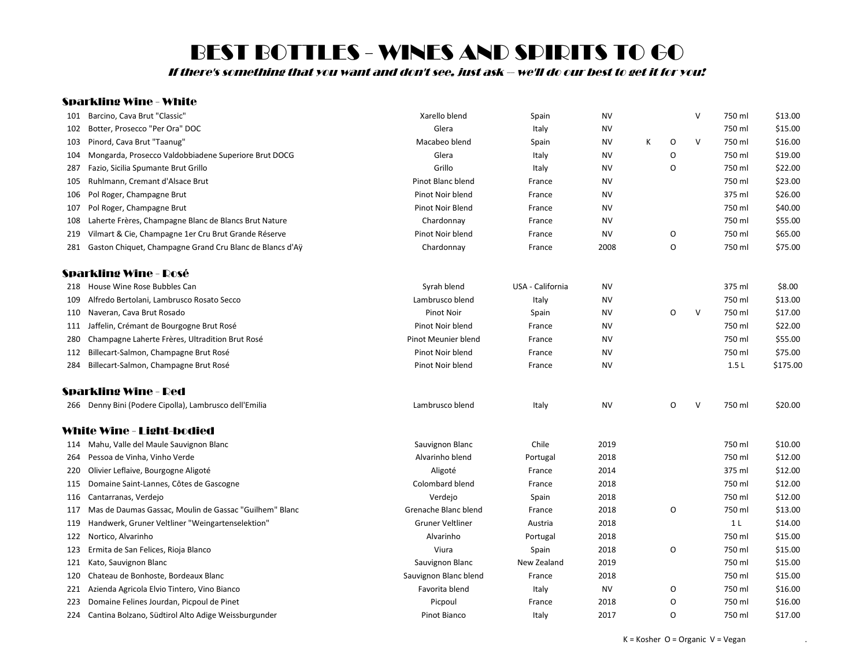If there's something that you want and don't see, just ask -- we'll do our best to get it for you!

### Sparkling Wine - White

| 101 | Barcino, Cava Brut "Classic"                             | Xarello blend           | Spain            | NV        |   |         | $\vee$ | 750 ml         | \$13.00  |
|-----|----------------------------------------------------------|-------------------------|------------------|-----------|---|---------|--------|----------------|----------|
| 102 | Botter, Prosecco "Per Ora" DOC                           | Glera                   | Italy            | NV        |   |         |        | 750 ml         | \$15.00  |
| 103 | Pinord, Cava Brut "Taanug"                               | Macabeo blend           | Spain            | <b>NV</b> | K | O       | $\vee$ | 750 ml         | \$16.00  |
| 104 | Mongarda, Prosecco Valdobbiadene Superiore Brut DOCG     | Glera                   | Italy            | <b>NV</b> |   | O       |        | 750 ml         | \$19.00  |
| 287 | Fazio, Sicilia Spumante Brut Grillo                      | Grillo                  | Italy            | NV        |   | O       |        | 750 ml         | \$22.00  |
| 105 | Ruhlmann, Cremant d'Alsace Brut                          | Pinot Blanc blend       | France           | <b>NV</b> |   |         |        | 750 ml         | \$23.00  |
| 106 | Pol Roger, Champagne Brut                                | Pinot Noir blend        | France           | <b>NV</b> |   |         |        | 375 ml         | \$26.00  |
| 107 | Pol Roger, Champagne Brut                                | <b>Pinot Noir Blend</b> | France           | <b>NV</b> |   |         |        | 750 ml         | \$40.00  |
| 108 | Laherte Frères, Champagne Blanc de Blancs Brut Nature    | Chardonnay              | France           | NV        |   |         |        | 750 ml         | \$55.00  |
| 219 | Vilmart & Cie, Champagne 1er Cru Brut Grande Réserve     | Pinot Noir blend        | France           | <b>NV</b> |   | O       |        | 750 ml         | \$65.00  |
| 281 | Gaston Chiquet, Champagne Grand Cru Blanc de Blancs d'Aÿ | Chardonnay              | France           | 2008      |   | O       |        | 750 ml         | \$75.00  |
|     | Sparkling Wine - Rosé                                    |                         |                  |           |   |         |        |                |          |
|     | 218 House Wine Rose Bubbles Can                          | Syrah blend             | USA - California | NV        |   |         |        | 375 ml         | \$8.00   |
| 109 | Alfredo Bertolani, Lambrusco Rosato Secco                | Lambrusco blend         | Italy            | <b>NV</b> |   |         |        | 750 ml         | \$13.00  |
| 110 | Naveran, Cava Brut Rosado                                | <b>Pinot Noir</b>       | Spain            | ΝV        |   | O       | V      | 750 ml         | \$17.00  |
| 111 | Jaffelin, Crémant de Bourgogne Brut Rosé                 | Pinot Noir blend        | France           | <b>NV</b> |   |         |        | 750 ml         | \$22.00  |
| 280 | Champagne Laherte Frères, Ultradition Brut Rosé          | Pinot Meunier blend     | France           | <b>NV</b> |   |         |        | 750 ml         | \$55.00  |
| 112 | Billecart-Salmon, Champagne Brut Rosé                    | Pinot Noir blend        | France           | <b>NV</b> |   |         |        | 750 ml         | \$75.00  |
| 284 | Billecart-Salmon, Champagne Brut Rosé                    | Pinot Noir blend        | France           | <b>NV</b> |   |         |        | 1.5L           | \$175.00 |
|     | Sparkling Wine - Red                                     |                         |                  |           |   |         |        |                |          |
|     | 266 Denny Bini (Podere Cipolla), Lambrusco dell'Emilia   | Lambrusco blend         | Italy            | <b>NV</b> |   | O       | V      | 750 ml         | \$20.00  |
|     | White Wine - Light-bodied                                |                         |                  |           |   |         |        |                |          |
|     | 114 Mahu, Valle del Maule Sauvignon Blanc                | Sauvignon Blanc         | Chile            | 2019      |   |         |        | 750 ml         | \$10.00  |
| 264 | Pessoa de Vinha, Vinho Verde                             | Alvarinho blend         | Portugal         | 2018      |   |         |        | 750 ml         | \$12.00  |
| 220 | Olivier Leflaive, Bourgogne Aligoté                      | Aligoté                 | France           | 2014      |   |         |        | 375 ml         | \$12.00  |
| 115 | Domaine Saint-Lannes, Côtes de Gascogne                  | Colombard blend         | France           | 2018      |   |         |        | 750 ml         | \$12.00  |
| 116 | Cantarranas, Verdejo                                     | Verdejo                 | Spain            | 2018      |   |         |        | 750 ml         | \$12.00  |
| 117 | Mas de Daumas Gassac, Moulin de Gassac "Guilhem" Blanc   | Grenache Blanc blend    | France           | 2018      |   | $\circ$ |        | 750 ml         | \$13.00  |
| 119 | Handwerk, Gruner Veltliner "Weingartenselektion"         | <b>Gruner Veltliner</b> | Austria          | 2018      |   |         |        | 1 <sub>L</sub> | \$14.00  |
| 122 | Nortico, Alvarinho                                       | Alvarinho               | Portugal         | 2018      |   |         |        | 750 ml         | \$15.00  |
| 123 | Ermita de San Felices, Rioja Blanco                      | Viura                   | Spain            | 2018      |   | O       |        | 750 ml         | \$15.00  |
| 121 | Kato, Sauvignon Blanc                                    | Sauvignon Blanc         | New Zealand      | 2019      |   |         |        | 750 ml         | \$15.00  |
| 120 | Chateau de Bonhoste, Bordeaux Blanc                      | Sauvignon Blanc blend   | France           | 2018      |   |         |        | 750 ml         | \$15.00  |
| 221 | Azienda Agricola Elvio Tintero, Vino Bianco              | Favorita blend          | Italy            | <b>NV</b> |   | O       |        | 750 ml         | \$16.00  |
| 223 | Domaine Felines Jourdan, Picpoul de Pinet                | Picpoul                 | France           | 2018      |   | O       |        | 750 ml         | \$16.00  |
|     | 224 Cantina Bolzano, Südtirol Alto Adige Weissburgunder  | Pinot Bianco            | Italy            | 2017      |   | O       |        | 750 ml         | \$17.00  |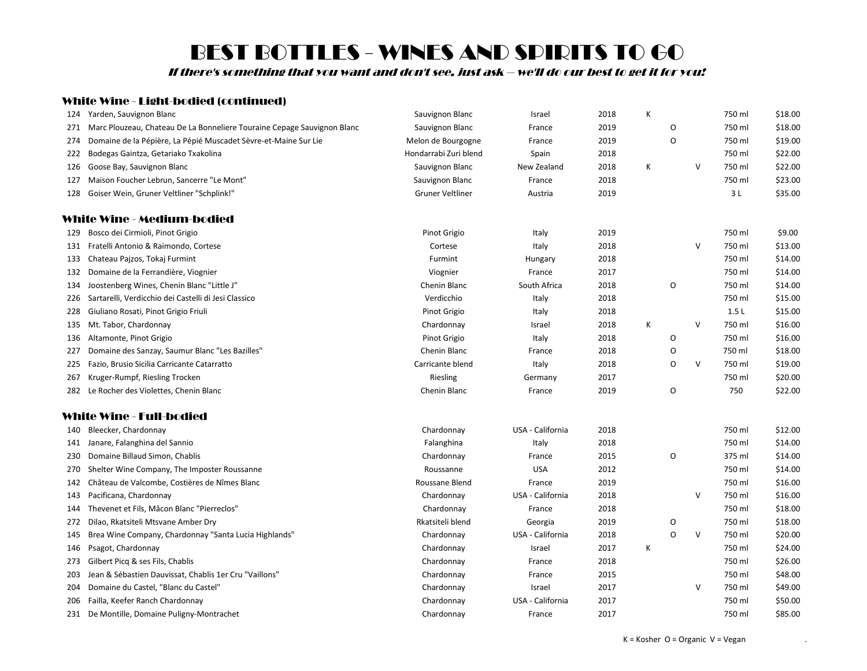If there's something that you want and don't see, just ask -- we'll do our best to get it for you!

### White Wine - Light-bodied (continued)

| 124 | Yarden, Sauvignon Blanc                                                 | Sauvignon Blanc         | Israel           | 2018 | К |   |   | 750 ml | \$18.00 |
|-----|-------------------------------------------------------------------------|-------------------------|------------------|------|---|---|---|--------|---------|
| 271 | Marc Plouzeau, Chateau De La Bonneliere Touraine Cepage Sauvignon Blanc | Sauvignon Blanc         | France           | 2019 |   | O |   | 750 ml | \$18.00 |
| 274 | Domaine de la Pépière, La Pépié Muscadet Sèvre-et-Maine Sur Lie         | Melon de Bourgogne      | France           | 2019 |   | O |   | 750 ml | \$19.00 |
| 222 | Bodegas Gaintza, Getariako Txakolina                                    | Hondarrabi Zuri blend   | Spain            | 2018 |   |   |   | 750 ml | \$22.00 |
| 126 | Goose Bay, Sauvignon Blanc                                              | Sauvignon Blanc         | New Zealand      | 2018 | Κ |   | v | 750 ml | \$22.00 |
| 127 | Maison Foucher Lebrun, Sancerre "Le Mont"                               | Sauvignon Blanc         | France           | 2018 |   |   |   | 750 ml | \$23.00 |
|     | 128 Goiser Wein, Gruner Veltliner "Schplink!"                           | <b>Gruner Veltliner</b> | Austria          | 2019 |   |   |   | 3L     | \$35.00 |
|     | White Wine - Medium-bodied                                              |                         |                  |      |   |   |   |        |         |
| 129 | Bosco dei Cirmioli, Pinot Grigio                                        | Pinot Grigio            | Italy            | 2019 |   |   |   | 750 ml | \$9.00  |
|     | 131 Fratelli Antonio & Raimondo, Cortese                                | Cortese                 | Italy            | 2018 |   |   | v | 750 ml | \$13.00 |
| 133 | Chateau Pajzos, Tokaj Furmint                                           | Furmint                 | Hungary          | 2018 |   |   |   | 750 ml | \$14.00 |
| 132 | Domaine de la Ferrandière, Viognier                                     | Viognier                | France           | 2017 |   |   |   | 750 ml | \$14.00 |
| 134 | Joostenberg Wines, Chenin Blanc "Little J"                              | Chenin Blanc            | South Africa     | 2018 |   | O |   | 750 ml | \$14.00 |
| 226 | Sartarelli, Verdicchio dei Castelli di Jesi Classico                    | Verdicchio              | Italy            | 2018 |   |   |   | 750 ml | \$15.00 |
| 228 | Giuliano Rosati, Pinot Grigio Friuli                                    | Pinot Grigio            | Italy            | 2018 |   |   |   | 1.5L   | \$15.00 |
| 135 | Mt. Tabor, Chardonnay                                                   | Chardonnay              | Israel           | 2018 | Κ |   | V | 750 ml | \$16.00 |
| 136 | Altamonte, Pinot Grigio                                                 | Pinot Grigio            | Italy            | 2018 |   | O |   | 750 ml | \$16.00 |
| 227 | Domaine des Sanzay, Saumur Blanc "Les Bazilles"                         | Chenin Blanc            | France           | 2018 |   | O |   | 750 ml | \$18.00 |
| 225 | Fazio, Brusio Sicilia Carricante Catarratto                             | Carricante blend        | Italy            | 2018 |   | O | V | 750 ml | \$19.00 |
| 267 | Kruger-Rumpf, Riesling Trocken                                          | Riesling                | Germany          | 2017 |   |   |   | 750 ml | \$20.00 |
| 282 | Le Rocher des Violettes, Chenin Blanc                                   | Chenin Blanc            | France           | 2019 |   | O |   | 750    | \$22.00 |
|     | White Wine - Full-bodied                                                |                         |                  |      |   |   |   |        |         |
| 140 | Bleecker, Chardonnay                                                    | Chardonnay              | USA - California | 2018 |   |   |   | 750 ml | \$12.00 |
|     | 141 Janare, Falanghina del Sannio                                       | Falanghina              | Italy            | 2018 |   |   |   | 750 ml | \$14.00 |
| 230 | Domaine Billaud Simon, Chablis                                          | Chardonnay              | France           | 2015 |   | O |   | 375 ml | \$14.00 |
| 270 | Shelter Wine Company, The Imposter Roussanne                            | Roussanne               | <b>USA</b>       | 2012 |   |   |   | 750 ml | \$14.00 |
| 142 | Château de Valcombe, Costières de Nîmes Blanc                           | Roussane Blend          | France           | 2019 |   |   |   | 750 ml | \$16.00 |
| 143 | Pacificana, Chardonnay                                                  | Chardonnay              | USA - California | 2018 |   |   | v | 750 ml | \$16.00 |
| 144 | Thevenet et Fils, Mâcon Blanc "Pierreclos"                              | Chardonnay              | France           | 2018 |   |   |   | 750 ml | \$18.00 |
| 272 | Dilao, Rkatsiteli Mtsvane Amber Dry                                     | Rkatsiteli blend        | Georgia          | 2019 |   | O |   | 750 ml | \$18.00 |
| 145 | Brea Wine Company, Chardonnay "Santa Lucia Highlands"                   | Chardonnay              | USA - California | 2018 |   | O | V | 750 ml | \$20.00 |
| 146 | Psagot, Chardonnay                                                      | Chardonnay              | Israel           | 2017 | К |   |   | 750 ml | \$24.00 |
| 273 | Gilbert Picq & ses Fils, Chablis                                        | Chardonnay              | France           | 2018 |   |   |   | 750 ml | \$26.00 |
| 203 | Jean & Sébastien Dauvissat, Chablis 1er Cru "Vaillons"                  | Chardonnay              | France           | 2015 |   |   |   | 750 ml | \$48.00 |
| 204 | Domaine du Castel, "Blanc du Castel"                                    | Chardonnay              | Israel           | 2017 |   |   | V | 750 ml | \$49.00 |
| 206 | Failla, Keefer Ranch Chardonnay                                         | Chardonnay              | USA - California | 2017 |   |   |   | 750 ml | \$50.00 |
|     | 231 De Montille, Domaine Puligny-Montrachet                             | Chardonnay              | France           | 2017 |   |   |   | 750 ml | \$85.00 |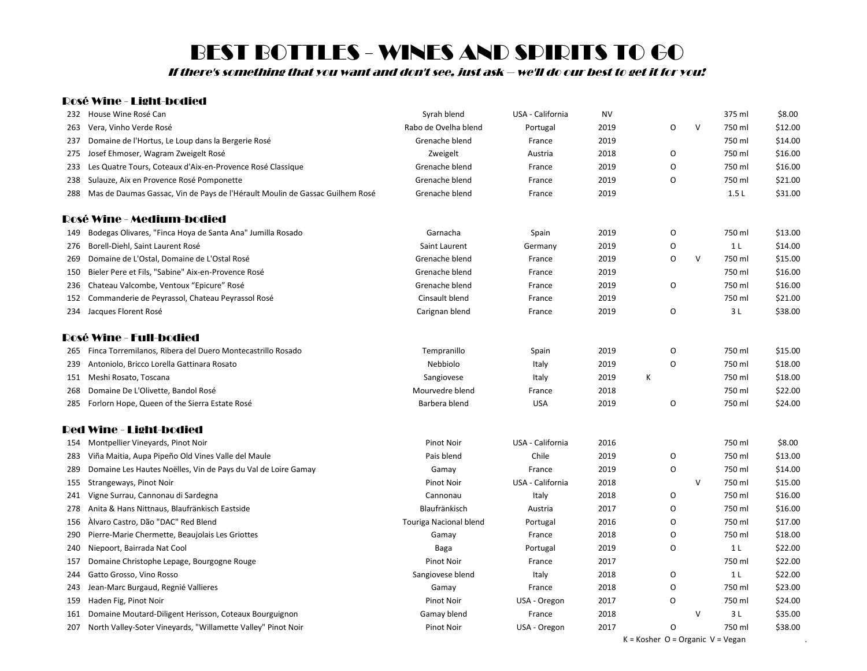If there's something that you want and don't see, just ask -- we'll do our best to get it for you!

### Rosé Wine - Light-bodied

| 232 | House Wine Rosé Can                                                              | Syrah blend            | USA - California | <b>NV</b> |   |   |        | 375 ml         | \$8.00  |
|-----|----------------------------------------------------------------------------------|------------------------|------------------|-----------|---|---|--------|----------------|---------|
| 263 | Vera, Vinho Verde Rosé                                                           | Rabo de Ovelha blend   | Portugal         | 2019      |   | O | v      | 750 ml         | \$12.00 |
| 237 | Domaine de l'Hortus, Le Loup dans la Bergerie Rosé                               | Grenache blend         | France           | 2019      |   |   |        | 750 ml         | \$14.00 |
|     | 275 Josef Ehmoser, Wagram Zweigelt Rosé                                          | Zweigelt               | Austria          | 2018      |   | O |        | 750 ml         | \$16.00 |
| 233 | Les Quatre Tours, Coteaux d'Aix-en-Provence Rosé Classique                       | Grenache blend         | France           | 2019      |   | O |        | 750 ml         | \$16.00 |
| 238 | Sulauze, Aix en Provence Rosé Pomponette                                         | Grenache blend         | France           | 2019      |   | O |        | 750 ml         | \$21.00 |
|     | 288 Mas de Daumas Gassac, Vin de Pays de l'Hérault Moulin de Gassac Guilhem Rosé | Grenache blend         | France           | 2019      |   |   |        | 1.5L           | \$31.00 |
|     | Rosé Wine - Medium-bodied                                                        |                        |                  |           |   |   |        |                |         |
| 149 | Bodegas Olivares, "Finca Hoya de Santa Ana" Jumilla Rosado                       | Garnacha               | Spain            | 2019      |   | O |        | 750 ml         | \$13.00 |
| 276 | Borell-Diehl, Saint Laurent Rosé                                                 | Saint Laurent          | Germany          | 2019      |   | O |        | 1 <sub>L</sub> | \$14.00 |
| 269 | Domaine de L'Ostal, Domaine de L'Ostal Rosé                                      | Grenache blend         | France           | 2019      |   | O | V      | 750 ml         | \$15.00 |
| 150 | Bieler Pere et Fils, "Sabine" Aix-en-Provence Rosé                               | Grenache blend         | France           | 2019      |   |   |        | 750 ml         | \$16.00 |
| 236 | Chateau Valcombe, Ventoux "Epicure" Rosé                                         | Grenache blend         | France           | 2019      |   | O |        | 750 ml         | \$16.00 |
|     | 152 Commanderie de Peyrassol, Chateau Peyrassol Rosé                             | Cinsault blend         | France           | 2019      |   |   |        | 750 ml         | \$21.00 |
|     | 234 Jacques Florent Rosé                                                         | Carignan blend         | France           | 2019      |   | O |        | 3L             | \$38.00 |
|     | Rosé Wine - Full-bodied                                                          |                        |                  |           |   |   |        |                |         |
|     | 265 Finca Torremilanos, Ribera del Duero Montecastrillo Rosado                   | Tempranillo            | Spain            | 2019      |   | O |        | 750 ml         | \$15.00 |
| 239 | Antoniolo, Bricco Lorella Gattinara Rosato                                       | Nebbiolo               | Italy            | 2019      |   | O |        | 750 ml         | \$18.00 |
|     | 151 Meshi Rosato, Toscana                                                        | Sangiovese             | Italy            | 2019      | К |   |        | 750 ml         | \$18.00 |
| 268 | Domaine De L'Olivette, Bandol Rosé                                               | Mourvedre blend        | France           | 2018      |   |   |        | 750 ml         | \$22.00 |
|     | 285 Forlorn Hope, Queen of the Sierra Estate Rosé                                | Barbera blend          | <b>USA</b>       | 2019      |   | O |        | 750 ml         | \$24.00 |
|     | Red Wine - Light-bodied                                                          |                        |                  |           |   |   |        |                |         |
|     | 154 Montpellier Vineyards, Pinot Noir                                            | <b>Pinot Noir</b>      | USA - California | 2016      |   |   |        | 750 ml         | \$8.00  |
| 283 | Viña Maitia, Aupa Pipeño Old Vines Valle del Maule                               | Pais blend             | Chile            | 2019      |   | O |        | 750 ml         | \$13.00 |
| 289 | Domaine Les Hautes Noëlles, Vin de Pays du Val de Loire Gamay                    | Gamay                  | France           | 2019      |   | O |        | 750 ml         | \$14.00 |
|     | 155 Strangeways, Pinot Noir                                                      | <b>Pinot Noir</b>      | USA - California | 2018      |   |   | V      | 750 ml         | \$15.00 |
| 241 | Vigne Surrau, Cannonau di Sardegna                                               | Cannonau               | Italy            | 2018      |   | O |        | 750 ml         | \$16.00 |
|     | 278 Anita & Hans Nittnaus, Blaufränkisch Eastside                                | Blaufränkisch          | Austria          | 2017      |   | O |        | 750 ml         | \$16.00 |
|     | 156 Alvaro Castro, Dão "DAC" Red Blend                                           | Touriga Nacional blend | Portugal         | 2016      |   | O |        | 750 ml         | \$17.00 |
| 290 | Pierre-Marie Chermette, Beaujolais Les Griottes                                  | Gamay                  | France           | 2018      |   | O |        | 750 ml         | \$18.00 |
| 240 | Niepoort, Bairrada Nat Cool                                                      | Baga                   | Portugal         | 2019      |   | O |        | 1 <sub>L</sub> | \$22.00 |
| 157 | Domaine Christophe Lepage, Bourgogne Rouge                                       | <b>Pinot Noir</b>      | France           | 2017      |   |   |        | 750 ml         | \$22.00 |
| 244 | Gatto Grosso, Vino Rosso                                                         | Sangiovese blend       | Italy            | 2018      |   | O |        | 1 <sub>L</sub> | \$22.00 |
| 243 | Jean-Marc Burgaud, Regnié Vallieres                                              | Gamay                  | France           | 2018      |   | O |        | 750 ml         | \$23.00 |
|     | 159 Haden Fig, Pinot Noir                                                        | Pinot Noir             | USA - Oregon     | 2017      |   | 0 |        | 750 ml         | \$24.00 |
| 161 | Domaine Moutard-Diligent Herisson, Coteaux Bourguignon                           | Gamay blend            | France           | 2018      |   |   | $\vee$ | 3 L            | \$35.00 |
|     | 207 North Valley-Soter Vineyards, "Willamette Valley" Pinot Noir                 | <b>Pinot Noir</b>      | USA - Oregon     | 2017      |   | O |        | 750 ml         | \$38.00 |
|     |                                                                                  |                        |                  |           |   |   |        |                |         |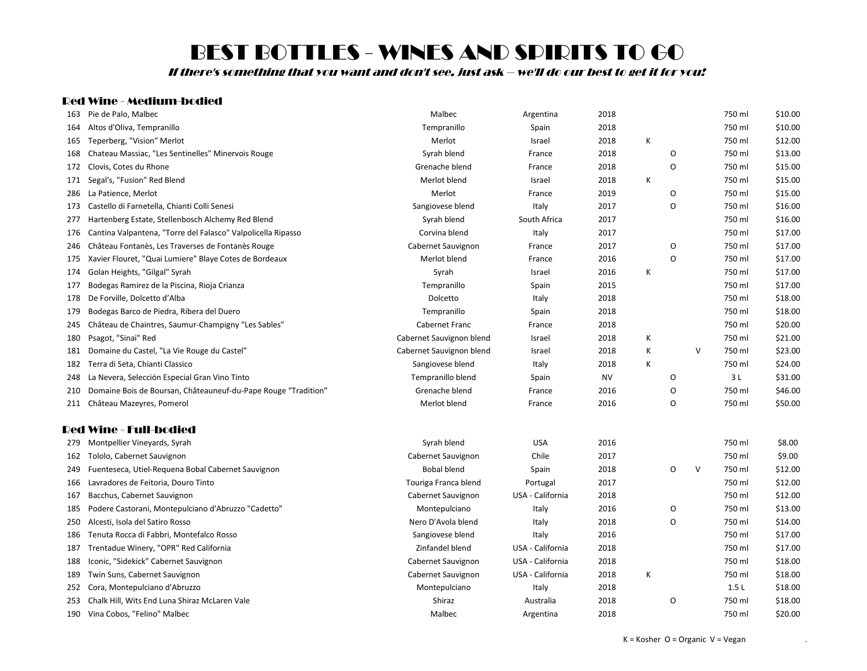If there's something that you want and don't see, just ask -- we'll do our best to get it for you!

#### Red Wine - Medium-bodied

| 163 | Pie de Palo, Malbec                                            | Malbec                   | Argentina        | 2018      |   |         |        | 750 ml | \$10.00 |
|-----|----------------------------------------------------------------|--------------------------|------------------|-----------|---|---------|--------|--------|---------|
| 164 | Altos d'Oliva, Tempranillo                                     | Tempranillo              | Spain            | 2018      |   |         |        | 750 ml | \$10.00 |
| 165 | Teperberg, "Vision" Merlot                                     | Merlot                   | Israel           | 2018      | К |         |        | 750 ml | \$12.00 |
| 168 | Chateau Massiac, "Les Sentinelles" Minervois Rouge             | Syrah blend              | France           | 2018      |   | O       |        | 750 ml | \$13.00 |
| 172 | Clovis, Cotes du Rhone                                         | Grenache blend           | France           | 2018      |   | O       |        | 750 ml | \$15.00 |
| 171 | Segal's, "Fusion" Red Blend                                    | Merlot blend             | Israel           | 2018      | К |         |        | 750 ml | \$15.00 |
| 286 | La Patience, Merlot                                            | Merlot                   | France           | 2019      |   | O       |        | 750 ml | \$15.00 |
| 173 | Castello di Farnetella, Chianti Colli Senesi                   | Sangiovese blend         | Italy            | 2017      |   | O       |        | 750 ml | \$16.00 |
| 277 | Hartenberg Estate, Stellenbosch Alchemy Red Blend              | Syrah blend              | South Africa     | 2017      |   |         |        | 750 ml | \$16.00 |
| 176 | Cantina Valpantena, "Torre del Falasco" Valpolicella Ripasso   | Corvina blend            | Italy            | 2017      |   |         |        | 750 ml | \$17.00 |
| 246 | Château Fontanès, Les Traverses de Fontanès Rouge              | Cabernet Sauvignon       | France           | 2017      |   | O       |        | 750 ml | \$17.00 |
| 175 | Xavier Flouret, "Quai Lumiere" Blaye Cotes de Bordeaux         | Merlot blend             | France           | 2016      |   | O       |        | 750 ml | \$17.00 |
| 174 | Golan Heights, "Gilgal" Syrah                                  | Syrah                    | Israel           | 2016      | К |         |        | 750 ml | \$17.00 |
| 177 | Bodegas Ramirez de la Piscina, Rioja Crianza                   | Tempranillo              | Spain            | 2015      |   |         |        | 750 ml | \$17.00 |
| 178 | De Forville, Dolcetto d'Alba                                   | Dolcetto                 | Italy            | 2018      |   |         |        | 750 ml | \$18.00 |
| 179 | Bodegas Barco de Piedra, Ribera del Duero                      | Tempranillo              | Spain            | 2018      |   |         |        | 750 ml | \$18.00 |
| 245 | Château de Chaintres, Saumur-Champigny "Les Sables"            | Cabernet Franc           | France           | 2018      |   |         |        | 750 ml | \$20.00 |
| 180 | Psagot, "Sinai" Red                                            | Cabernet Sauvignon blend | Israel           | 2018      | К |         |        | 750 ml | \$21.00 |
| 181 | Domaine du Castel, "La Vie Rouge du Castel"                    | Cabernet Sauvignon blend | Israel           | 2018      | К |         | $\vee$ | 750 ml | \$23.00 |
| 182 | Terra di Seta, Chianti Classico                                | Sangiovese blend         | Italy            | 2018      | К |         |        | 750 ml | \$24.00 |
| 248 | La Nevera, Selección Especial Gran Vino Tinto                  | Tempranillo blend        | Spain            | <b>NV</b> |   | $\circ$ |        | 3L     | \$31.00 |
| 210 | Domaine Bois de Boursan, Châteauneuf-du-Pape Rouge "Tradition" | Grenache blend           | France           | 2016      |   | O       |        | 750 ml | \$46.00 |
| 211 | Château Mazeyres, Pomerol                                      | Merlot blend             | France           | 2016      |   | O       |        | 750 ml | \$50.00 |
|     | <b>Red Wine - Full-bodied</b>                                  |                          |                  |           |   |         |        |        |         |
| 279 | Montpellier Vineyards, Syrah                                   | Syrah blend              | <b>USA</b>       | 2016      |   |         |        | 750 ml | \$8.00  |
| 162 | Tololo, Cabernet Sauvignon                                     | Cabernet Sauvignon       | Chile            | 2017      |   |         |        | 750 ml | \$9.00  |
| 249 | Fuenteseca, Utiel-Requena Bobal Cabernet Sauvignon             | <b>Bobal blend</b>       | Spain            | 2018      |   | $\circ$ | V      | 750 ml | \$12.00 |
| 166 | Lavradores de Feitoria, Douro Tinto                            | Touriga Franca blend     | Portugal         | 2017      |   |         |        | 750 ml | \$12.00 |
| 167 | Bacchus, Cabernet Sauvignon                                    | Cabernet Sauvignon       | USA - California | 2018      |   |         |        | 750 ml | \$12.00 |
| 185 | Podere Castorani, Montepulciano d'Abruzzo "Cadetto"            | Montepulciano            | Italy            | 2016      |   | O       |        | 750 ml | \$13.00 |
| 250 | Alcesti, Isola del Satiro Rosso                                | Nero D'Avola blend       | Italy            | 2018      |   | O       |        | 750 ml | \$14.00 |
| 186 | Tenuta Rocca di Fabbri, Montefalco Rosso                       | Sangiovese blend         | Italy            | 2016      |   |         |        | 750 ml | \$17.00 |
| 187 | Trentadue Winery, "OPR" Red California                         | Zinfandel blend          | USA - California | 2018      |   |         |        | 750 ml | \$17.00 |
| 188 | Iconic, "Sidekick" Cabernet Sauvignon                          | Cabernet Sauvignon       | USA - California | 2018      |   |         |        | 750 ml | \$18.00 |
| 189 | Twin Suns, Cabernet Sauvignon                                  | Cabernet Sauvignon       | USA - California | 2018      | К |         |        | 750 ml | \$18.00 |
| 252 | Cora, Montepulciano d'Abruzzo                                  | Montepulciano            | Italy            | 2018      |   |         |        | 1.5L   | \$18.00 |
| 253 | Chalk Hill, Wits End Luna Shiraz McLaren Vale                  | Shiraz                   | Australia        | 2018      |   | O       |        | 750 ml | \$18.00 |
| 190 | Vina Cobos, "Felino" Malbec                                    | Malbec                   | Argentina        | 2018      |   |         |        | 750 ml | \$20.00 |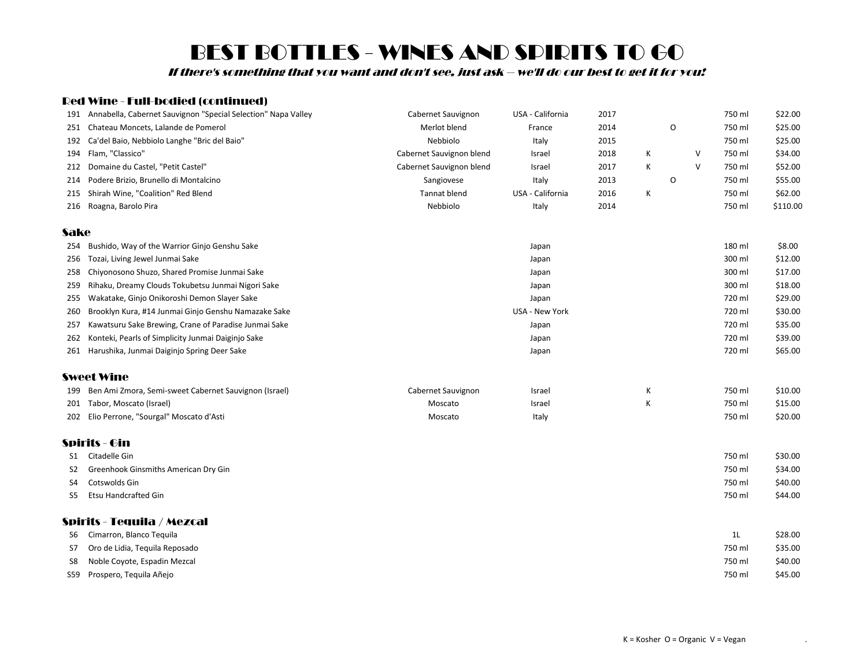If there's something that you want and don't see, just ask -- we'll do our best to get it for you!

### Red Wine - Full-bodied (continued)

|      | 191 Annabella, Cabernet Sauvignon "Special Selection" Napa Valley | Cabernet Sauvignon       | USA - California | 2017 |   |   |   | 750 ml         | \$22.00  |
|------|-------------------------------------------------------------------|--------------------------|------------------|------|---|---|---|----------------|----------|
| 251  | Chateau Moncets, Lalande de Pomerol                               | Merlot blend             | France           | 2014 |   | O |   | 750 ml         | \$25.00  |
| 192  | Ca'del Baio, Nebbiolo Langhe "Bric del Baio"                      | Nebbiolo                 | Italy            | 2015 |   |   |   | 750 ml         | \$25.00  |
| 194  | Flam, "Classico"                                                  | Cabernet Sauvignon blend | Israel           | 2018 | Κ |   | V | 750 ml         | \$34.00  |
|      | 212 Domaine du Castel, "Petit Castel"                             | Cabernet Sauvignon blend | Israel           | 2017 | К |   | V | 750 ml         | \$52.00  |
| 214  | Podere Brizio, Brunello di Montalcino                             | Sangiovese               | Italy            | 2013 |   | O |   | 750 ml         | \$55.00  |
| 215  | Shirah Wine, "Coalition" Red Blend                                | <b>Tannat blend</b>      | USA - California | 2016 | К |   |   | 750 ml         | \$62.00  |
|      | 216 Roagna, Barolo Pira                                           | Nebbiolo                 | Italy            | 2014 |   |   |   | 750 ml         | \$110.00 |
| Sake |                                                                   |                          |                  |      |   |   |   |                |          |
| 254  | Bushido, Way of the Warrior Ginjo Genshu Sake                     |                          | Japan            |      |   |   |   | 180 ml         | \$8.00   |
| 256  | Tozai, Living Jewel Junmai Sake                                   |                          | Japan            |      |   |   |   | 300 ml         | \$12.00  |
| 258  | Chiyonosono Shuzo, Shared Promise Junmai Sake                     |                          | Japan            |      |   |   |   | 300 ml         | \$17.00  |
| 259  | Rihaku, Dreamy Clouds Tokubetsu Junmai Nigori Sake                |                          | Japan            |      |   |   |   | 300 ml         | \$18.00  |
| 255  | Wakatake, Ginjo Onikoroshi Demon Slayer Sake                      |                          | Japan            |      |   |   |   | 720 ml         | \$29.00  |
| 260  | Brooklyn Kura, #14 Junmai Ginjo Genshu Namazake Sake              |                          | USA - New York   |      |   |   |   | 720 ml         | \$30.00  |
| 257  | Kawatsuru Sake Brewing, Crane of Paradise Junmai Sake             |                          | Japan            |      |   |   |   | 720 ml         | \$35.00  |
| 262  | Konteki, Pearls of Simplicity Junmai Daiginjo Sake                |                          | Japan            |      |   |   |   | 720 ml         | \$39.00  |
|      | 261 Harushika, Junmai Daiginjo Spring Deer Sake                   |                          | Japan            |      |   |   |   | 720 ml         | \$65.00  |
|      | <b>Sweet Wine</b>                                                 |                          |                  |      |   |   |   |                |          |
|      | 199 Ben Ami Zmora, Semi-sweet Cabernet Sauvignon (Israel)         | Cabernet Sauvignon       | Israel           |      | К |   |   | 750 ml         | \$10.00  |
|      | 201 Tabor, Moscato (Israel)                                       | Moscato                  | Israel           |      | К |   |   | 750 ml         | \$15.00  |
|      | 202 Elio Perrone, "Sourgal" Moscato d'Asti                        | Moscato                  | Italy            |      |   |   |   | 750 ml         | \$20.00  |
|      | <b>Spirits - Gin</b>                                              |                          |                  |      |   |   |   |                |          |
| S1   | Citadelle Gin                                                     |                          |                  |      |   |   |   | 750 ml         | \$30.00  |
| S2   | Greenhook Ginsmiths American Dry Gin                              |                          |                  |      |   |   |   | 750 ml         | \$34.00  |
| S4   | Cotswolds Gin                                                     |                          |                  |      |   |   |   | 750 ml         | \$40.00  |
| S5   | <b>Etsu Handcrafted Gin</b>                                       |                          |                  |      |   |   |   | 750 ml         | \$44.00  |
|      | Spirits - Tequila / Mezcal                                        |                          |                  |      |   |   |   |                |          |
| S6   | Cimarron, Blanco Tequila                                          |                          |                  |      |   |   |   | 1 <sub>L</sub> | \$28.00  |
| S7   | Oro de Lidia, Tequila Reposado                                    |                          |                  |      |   |   |   | 750 ml         | \$35.00  |
| S8   | Noble Coyote, Espadin Mezcal                                      |                          |                  |      |   |   |   | 750 ml         | \$40.00  |
|      | S59 Prospero, Tequila Añejo                                       |                          |                  |      |   |   |   | 750 ml         | \$45.00  |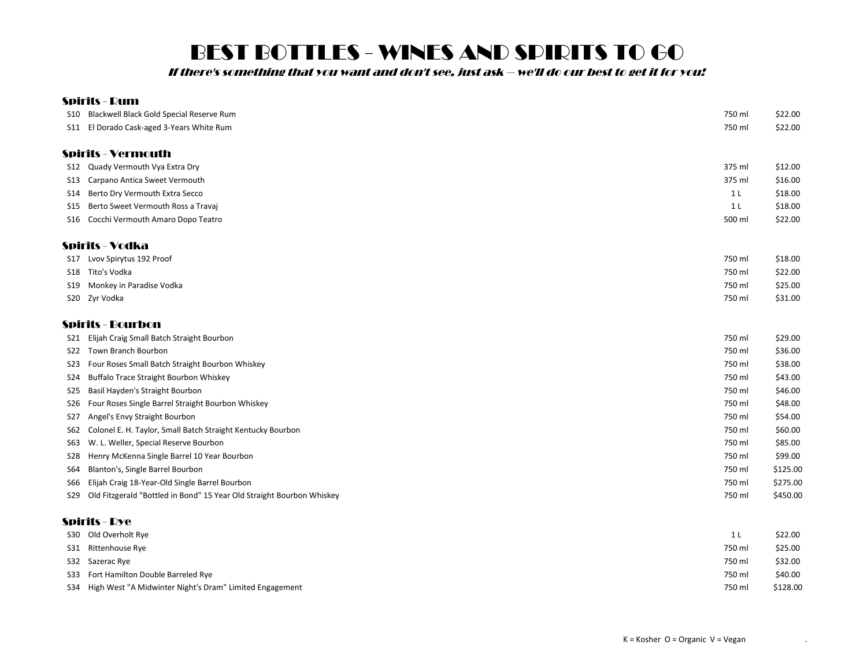If there's something that you want and don't see, just ask -- we'll do our best to get it for you!

|                 | <b>Spirits - Rum</b>                                                  |                |          |
|-----------------|-----------------------------------------------------------------------|----------------|----------|
|                 | S10 Blackwell Black Gold Special Reserve Rum                          | 750 ml         | \$22.00  |
|                 | S11 El Dorado Cask-aged 3-Years White Rum                             | 750 ml         | \$22.00  |
|                 | <b>Spirits - Vermouth</b>                                             |                |          |
|                 | S12 Quady Vermouth Vya Extra Dry                                      | 375 ml         | \$12.00  |
| S13             | Carpano Antica Sweet Vermouth                                         | 375 ml         | \$16.00  |
| S14             | Berto Dry Vermouth Extra Secco                                        | 1 <sub>L</sub> | \$18.00  |
| S15             | Berto Sweet Vermouth Ross a Travaj                                    | 1 <sub>L</sub> | \$18.00  |
|                 | S16 Cocchi Vermouth Amaro Dopo Teatro                                 | 500 ml         | \$22.00  |
|                 | <b>Spirits - Vodka</b>                                                |                |          |
|                 | S17 Lvov Spirytus 192 Proof                                           | 750 ml         | \$18.00  |
|                 | S18 Tito's Vodka                                                      | 750 ml         | \$22.00  |
| S19             | Monkey in Paradise Vodka                                              | 750 ml         | \$25.00  |
|                 | S20 Zyr Vodka                                                         | 750 ml         | \$31.00  |
|                 | Spirits - Bourbon                                                     |                |          |
| S21             | Elijah Craig Small Batch Straight Bourbon                             | 750 ml         | \$29.00  |
| S22             | <b>Town Branch Bourbon</b>                                            | 750 ml         | \$36.00  |
| S23             | Four Roses Small Batch Straight Bourbon Whiskey                       | 750 ml         | \$38.00  |
| S24             | Buffalo Trace Straight Bourbon Whiskey                                | 750 ml         | \$43.00  |
| S <sub>25</sub> | Basil Hayden's Straight Bourbon                                       | 750 ml         | \$46.00  |
| S26             | Four Roses Single Barrel Straight Bourbon Whiskey                     | 750 ml         | \$48.00  |
| S27             | Angel's Envy Straight Bourbon                                         | 750 ml         | \$54.00  |
| S62             | Colonel E. H. Taylor, Small Batch Straight Kentucky Bourbon           | 750 ml         | \$60.00  |
| S63             | W. L. Weller, Special Reserve Bourbon                                 | 750 ml         | \$85.00  |
| S28             | Henry McKenna Single Barrel 10 Year Bourbon                           | 750 ml         | \$99.00  |
| S64             | Blanton's, Single Barrel Bourbon                                      | 750 ml         | \$125.00 |
| S66             | Elijah Craig 18-Year-Old Single Barrel Bourbon                        | 750 ml         | \$275.00 |
| S29             | Old Fitzgerald "Bottled in Bond" 15 Year Old Straight Bourbon Whiskey | 750 ml         | \$450.00 |
|                 | <b>Spirits - Rye</b>                                                  |                |          |
|                 | S30 Old Overholt Rye                                                  | 1 <sub>L</sub> | \$22.00  |
|                 | S31 Rittenhouse Rye                                                   | 750 ml         | \$25.00  |

| $551$ muttermouse nye                                       |        | ັ້ນ ການເ |
|-------------------------------------------------------------|--------|----------|
| S32 Sazerac Rye                                             | 750 ml | \$32.00  |
| S33 Fort Hamilton Double Barreled Rye                       | 750 ml | \$40.00  |
| S34 High West "A Midwinter Night's Dram" Limited Engagement | 750 ml | \$128.00 |